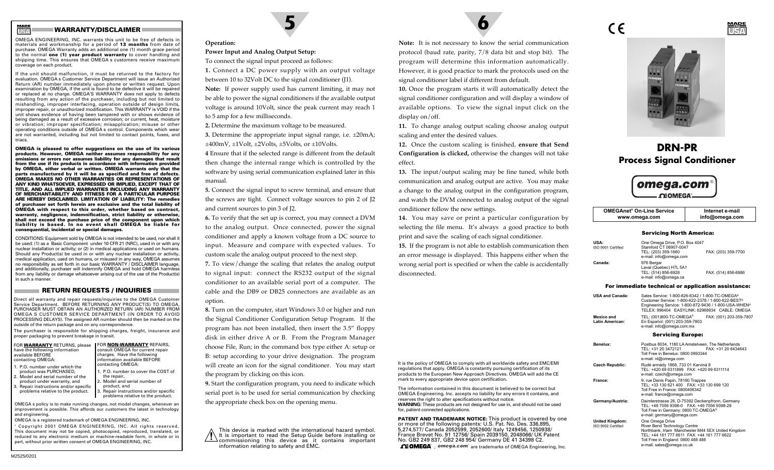# **WARRANTY/DISCLAIMER**

**USAMADE IN**

OMEGA ENGINEERING, INC. warrants this unit to be free of defects in materials and workmanship for a period of **13 months** from date of purchase. OMEGA Warranty adds an additional one (1) month grace period to the normal **one (1) year product warranty** to cover handling and shipping time. This ensures that OMEGA s customers receive maximum coverage on each product.

If the unit should malfunction, it must be returned to the factory for evaluation. OMEGA s Customer Service Department will issue an Authorized Return (AR) number immediately upon phone or written request. Upon examination by OMEGA, if the unit is found to be defective it will be repaired or replaced at no charge. OMEGA'S WARRANTY does not apply to defects resulting from any action of the purchaser, including but not limited to mishandling, improper interfacing, operation outside of design limits, improper repair, or unauthorized modification. This WARRANTY is VOID if the unit shows evidence of having been tampered with or shows evidence of being damaged as a result of excessive corrosion; or current, heat, moisture or vibration; improper specification; misapplication; misuse or other operating conditions outside of OMEGA s control. Components which wear are not warranted, including but not limited to contact points, fuses, and triacs.

**OMEGA is pleased to offer suggestions on the use of its various products. However, OMEGA neither assumes responsibility for any omissions or errors nor assumes liability for any damages that result from the use if its products in accordance with information provided by OMEGA, either verbal or written. OMEGA warrants only that the parts manufactured by it will be as specified and free of defects. OMEGA MAKES NO OTHER WARRANTIES OR REPRESENTATIONS OF ANY KIND WHATSOEVER, EXPRESSED OR IMPLIED, EXCEPT THAT OF TITLE, AND ALL IMPLIED WARRANTIES INCLUDING ANY WARRANTY OF MERCHANTABILITY AND FITNESS FOR A PARTICULAR PURPOSE ARE HEREBY DISCLAIMED. LIMITATION OF LIABILITY: The remedies of purchaser set forth herein are exclusive and the total liability of OMEGA with respect to this order, whether based on contract, warranty, negligence, indemnification, strict liability or otherwise, shall not exceed the purchase price of the component upon which liability is based. In no event shall OMEGA be liable for consequential, incidental or special damages.**

CONDITIONS: Equipment sold by OMEGA is not intended to be used, nor shall it be used: (1) as a Basic Component under 10 CFR 21 (NRC), used in or with any nuclear installation or activity; or (2) in medical applications or used on humans. Should any Product(s) be used in or with any nuclear installation or activity, medical application, used on humans, or misused in any way, OMEGA assumes no responsibility as set forth in our basic WARRANTY / DISCLAIMER language, and additionally, purchaser will indemnify OMEGA and hold OMEGA harmless from any liability or damage whatsoever arising out of the use of the Product(s) in such a manner.

#### **RETURN REQUESTS / INQUIRIES**

Direct all warranty and repair requests/inquiries to the OMEGA Customer Service Department. BEFORE RETURNING ANY PRODUCT(S) TO OMEGA, PURCHASER MUST OBTAIN AN AUTHORIZED RETURN (AR) NUMBER FROM OMEGA S CUSTOMER SERVICE DEPARTMENT (IN ORDER TO AVOID PROCESSING DELAYS). The assigned AR number should then be marked on the outside of the return package and on any correspondence.

The purchaser is responsible for shipping charges, freight, insurance and proper packaging to prevent breakage in transit.

| FOR WARRANTY RETURNS, please   | FOR NON-WARRANTY REPAIRS,        |
|--------------------------------|----------------------------------|
| have the following information | consult OMEGA for current repair |
| available BEFORE               | charges. Have the following      |
| contacting OMEGA:              | information available BEFORE     |
| 1. P.O. number under which the | contacting OMEGA:                |
| product was PURCHASED,         | 1. P.O. number to cover the COST |

2. Model and serial number of the1. P.O. number to cover the COST ofthe repair,

problems relative to the product.

- product under warranty, and 3. Repair instructions and/or specific Model and serial number of product, and Repair instructions and/or specific
- problems relative to the product.

OMEGA s policy is to make running changes, not model changes, whenever an improvement is possible. This affords our customers the latest in technology and engineering.

OMEGA is a registered trademark of OMEGA ENGINEERING, INC. ' Copyright 2001 OMEGA ENGINEERING, INC. All rights reserved. This document may not be copied, photocopied, reproduced, translated, or reduced to any electronic medium or machine-readable form, in whole or in part, without prior written consent of OMEGA ENGINEERING, INC.



# **Operation:**

**Power Input and Analog Output Setup:**

To connect the signal input proceed as follows:

**1.** Connect a DC power supply with an output voltage between 10 to 32Volt DC to the signal conditioner (J1).

**Note:** If power supply used has current limiting, it may not be able to power the signal conditioners if the available output voltage is around 10Volt, since the peak current may reach 1 to 5 amp for a few milliseconds.

**2.** Determine the maximum voltage to be measured.

**3.** Determine the appropriate input signal range, i.e. ±20mA; ±400mV, ±1Volt, ±2Volts, ±5Volts, or ±10Volts.

**4** Ensure that if the selected range is different from the default then change the internal range which is controlled by the software by using serial communication explained later in this manual.

**5.** Connect the signal input to screw terminal, and ensure that the screws are tight. Connect voltage sources to pin 2 of J2 and current sources to pin 3 of J2.

**6.** To verify that the set up is correct, you may connect a DVM to the analog output. Once connected, power the signal conditioner and apply a known voltage from a DC source to input. Measure and compare with expected values. To custom scale the analog output proceed to the next step.

**7.** To view/change the scaling that relates the analog output to signal input: connect the RS232 output of the signal conditioner to an available serial port of a computer. The cable and the DB9 or DB25 connectors are available as an option.

**8.** Turn on the computer, start Windows 3.0 or higher and run the Signal Conditioner Configuration Setup Program. If the program has not been installed, then insert the 3.5" floppy disk in either drive A or B. From the Program Manager choose File, Run; in the command box type either A: setup or B: setup according to your drive designation. The program will create an icon for the signal conditioner. You may start the program by clicking on this icon.

**9.** Start the configuration program, you need to indicate which serial port is to be used for serial communication by checking the appropriate check box on the opening menu.

This device is marked with the international hazard symbol. It is important to read the Setup Guide before installing or commissioning this device as it contains important information relating to safety and EMC.

protocol (baud rate, parity, 7/8 data bit and stop bit). The program will determine this information automatically. However, it is good practice to mark the protocols used on the signal conditioner label if different from default.

**10.** Once the program starts it will automatically detect the signal conditioner configuration and will display a window of available options. To view the signal input click on the display on/off.

**11.** To change analog output scaling choose analog output scaling and enter the desired values.

**12.** Once the custom scaling is finished, **ensure that Send Configuration is clicked,** otherwise the changes will not take effect.

**13.** The input/output scaling may be fine tuned, while both conditioner follow the new settings.

**14.** You may save or print a particular configuration by selecting the file menu. It's always a good practice to both print and save the scaling of each signal conditioner.

**15.** If the program is not able to establish communication then an error message is displayed. This happens either when the wrong serial port is specified or when the cable is accidentally disconnected.

It is the policy of OMEGA to comply with all worldwide safety and EMC/EMI regulations that apply. OMEGA is constantly pursuing certification of its products to the European New Approach Directives. OMEGA will add the CE

The information contained in this document is believed to be correct butOMEGA Engineering, Inc. accepts no liability for any errors it contains, and

**WARNING:** These products are not designed for use in, and should not be used

**PATENT AND TRADEMARK NOTICE:** This product is covered by one or more of the following patents: U.S. Pat. No. Des. 336,895, 5,274,577/ Canada 2052599, 2052600/ Italy 1249456, 1250938/ France Brevet No. 91 12756/ Spain 2039150, 2048066/ UK Patent No. GB2 249 837, GB2 248 954/ Germany DE 41 34398 C2.  $\Omega$  **OMEGA** omega.com<sup>®</sup> are trademarks of OMEGA Engineering, Inc.

mark to every appropriate device upon certification.

for, patient connected applications.

reserves the right to alter specifications without notice.

**Note:** It is not necessary to know the serial communication

communication and analog output are active. You may make a change to the analog output in the configuration program, and watch the DVM connected to analog output of the signal



# **DRN-PRProcess Signal Conditioner**



| <b>OMEGAnet<sup>®</sup> On-Line Service</b> | Internet e-mail |
|---------------------------------------------|-----------------|
| www.omega.com                               | info@omega.com  |

#### Servicing North America:

| <b>USA:</b><br>ISO 9001 Certified | One Omega Drive, P.O. Box 4047<br>Stamford CT 06907-0047<br>TEL: (203) 359-1660<br>e-mail: info@omega.com | FAX: (203) 359-7700 |
|-----------------------------------|-----------------------------------------------------------------------------------------------------------|---------------------|
| Canada:                           | 976 Bergar<br>Laval (Quebec) H7L 5A1<br>TEL: (514) 856-6928<br>e-mail: info@omega.ca                      | FAX: (514) 856-6886 |

#### For immediate technical or application assistance:

CE

| <b>USA and Canada:</b>        | Sales Service: 1-800-826-6342 / 1-800-TC-OMEGA®<br>Customer Service: 1-800-622-2378 / 1-800-622-BEST®<br>Engineering Service: 1-800-872-9436 / 1-800-USA-WHEN <sup>®</sup><br>TELEX: 996404 EASYLINK: 62968934 CABLE: OMEGA |                         |
|-------------------------------|-----------------------------------------------------------------------------------------------------------------------------------------------------------------------------------------------------------------------------|-------------------------|
| Mexico and<br>Latin American: | TEL: (001)800-TC-OMEGA <sup>®</sup><br>En Español: (001) 203-359-7803<br>e-mail: info@omega.com.mx                                                                                                                          | FAX: (001) 203-359-7807 |
|                               | Samiaina Euranai                                                                                                                                                                                                            |                         |

| <b>Servicing Europe:</b>                     |                                                                                                                                                                                                                         |  |
|----------------------------------------------|-------------------------------------------------------------------------------------------------------------------------------------------------------------------------------------------------------------------------|--|
| Benelux:                                     | Postbus 8034, 1180 LA Amstelveen, The Netherlands<br>TEL: +31 20 3472121<br>FAX: +31 20 6434643<br>Toll Free in Benelux: 0800 0993344<br>e-mail: nl@omega.com                                                           |  |
| <b>Czech Republic:</b>                       | Rudé armády 1868, 733 01 Karviná 8<br>TEL: +420 69 6311899 FAX: +420 69 6311114<br>e-mail: czech@omega.com                                                                                                              |  |
| France:                                      | 9, rue Denis Papin, 78190 Trappes<br>TEL: +33 130 621 400  FAX: +33 130 699 120<br>Toll Free in France: 0800406342<br>e-mail: france@omega.com                                                                          |  |
| Germany/Austria:                             | Daimlerstrasse 26, D-75392 Deckenpfronn, Germany<br>TEL: +49 7056 9398-0   FAX: +49 7056 9398-29<br>Toll Free in Germany: 0800 TC-OMEGA®<br>e-mail: germany@omega.com                                                   |  |
| <b>United Kingdom:</b><br>ISO 9002 Certified | One Omega Drive<br>River Bend Technology Centre<br>Northbank, Irlam Manchester M44 5EX United Kingdom<br>TEL: +44 161 777 6611 FAX: +44 161 777 6622<br>Toll Free in England: 0800 488 488<br>e-mail: sales@omega.co.uk |  |

#### **USAMADEIN**

t repair ng<br>ORE